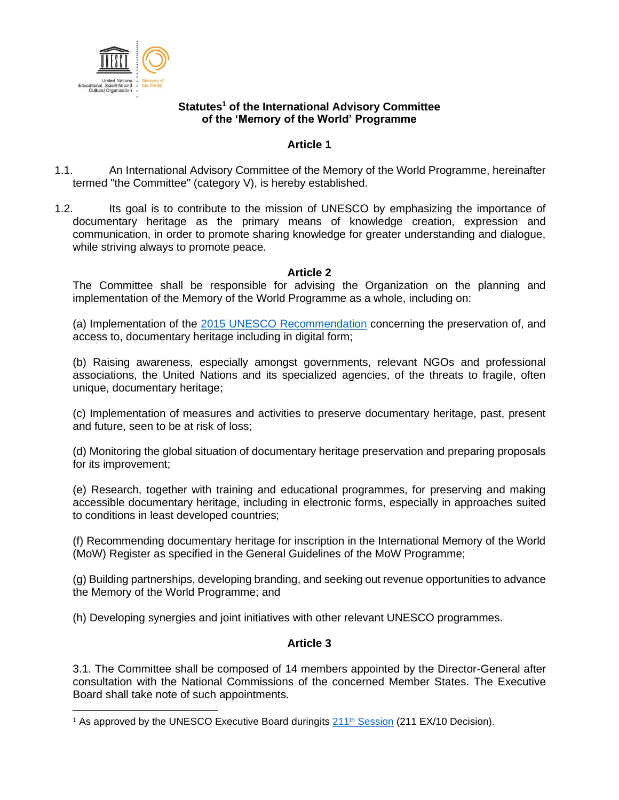

### **Statutes<sup>1</sup> of the International Advisory Committee of the 'Memory of the World' Programme**

## **Article 1**

- 1.1. An International Advisory Committee of the Memory of the World Programme, hereinafter termed "the Committee" (category V), is hereby established.
- 1.2. Its goal is to contribute to the mission of UNESCO by emphasizing the importance of documentary heritage as the primary means of knowledge creation, expression and communication, in order to promote sharing knowledge for greater understanding and dialogue, while striving always to promote peace.

## **Article 2**

The Committee shall be responsible for advising the Organization on the planning and implementation of the Memory of the World Programme as a whole, including on:

(a) Implementation of the [2015 UNESCO Recommendation](http://portal.unesco.org/en/ev.php-URL_ID=49358&URL_DO=DO_TOPIC&URL_SECTION=201.html) concerning the preservation of, and access to, documentary heritage including in digital form;

(b) Raising awareness, especially amongst governments, relevant NGOs and professional associations, the United Nations and its specialized agencies, of the threats to fragile, often unique, documentary heritage;

(c) Implementation of measures and activities to preserve documentary heritage, past, present and future, seen to be at risk of loss;

(d) Monitoring the global situation of documentary heritage preservation and preparing proposals for its improvement;

(e) Research, together with training and educational programmes, for preserving and making accessible documentary heritage, including in electronic forms, especially in approaches suited to conditions in least developed countries;

(f) Recommending documentary heritage for inscription in the International Memory of the World (MoW) Register as specified in the General Guidelines of the MoW Programme;

(g) Building partnerships, developing branding, and seeking out revenue opportunities to advance the Memory of the World Programme; and

(h) Developing synergies and joint initiatives with other relevant UNESCO programmes.

## **Article 3**

3.1. The Committee shall be composed of 14 members appointed by the Director-General after consultation with the National Commissions of the concerned Member States. The Executive Board shall take note of such appointments.

<sup>&</sup>lt;sup>1</sup> As approved by the UNESCO Executive Board duringits  $211<sup>th</sup>$  [Session](https://unesdoc.unesco.org/ark:/48223/pf0000377290) (211 EX/10 Decision).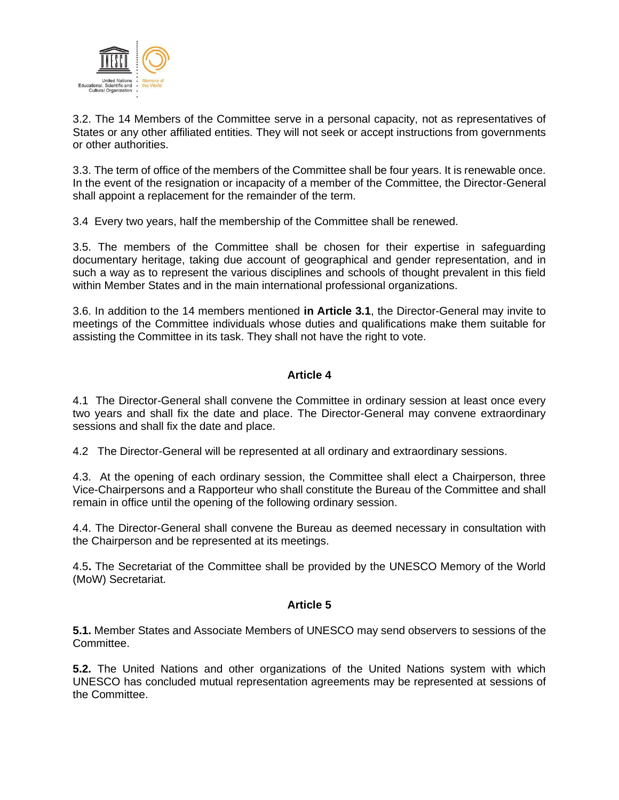

3.2. The 14 Members of the Committee serve in a personal capacity, not as representatives of States or any other affiliated entities. They will not seek or accept instructions from governments or other authorities.

3.3. The term of office of the members of the Committee shall be four years. It is renewable once. In the event of the resignation or incapacity of a member of the Committee, the Director-General shall appoint a replacement for the remainder of the term.

3.4 Every two years, half the membership of the Committee shall be renewed.

3.5. The members of the Committee shall be chosen for their expertise in safeguarding documentary heritage, taking due account of geographical and gender representation, and in such a way as to represent the various disciplines and schools of thought prevalent in this field within Member States and in the main international professional organizations.

3.6. In addition to the 14 members mentioned **in Article 3.1**, the Director-General may invite to meetings of the Committee individuals whose duties and qualifications make them suitable for assisting the Committee in its task. They shall not have the right to vote.

## **Article 4**

4.1 The Director-General shall convene the Committee in ordinary session at least once every two years and shall fix the date and place. The Director-General may convene extraordinary sessions and shall fix the date and place.

4.2 The Director-General will be represented at all ordinary and extraordinary sessions.

4.3. At the opening of each ordinary session, the Committee shall elect a Chairperson, three Vice-Chairpersons and a Rapporteur who shall constitute the Bureau of the Committee and shall remain in office until the opening of the following ordinary session.

4.4. The Director-General shall convene the Bureau as deemed necessary in consultation with the Chairperson and be represented at its meetings.

4.5**.** The Secretariat of the Committee shall be provided by the UNESCO Memory of the World (MoW) Secretariat.

## **Article 5**

**5.1.** Member States and Associate Members of UNESCO may send observers to sessions of the Committee.

**5.2.** The United Nations and other organizations of the United Nations system with which UNESCO has concluded mutual representation agreements may be represented at sessions of the Committee.